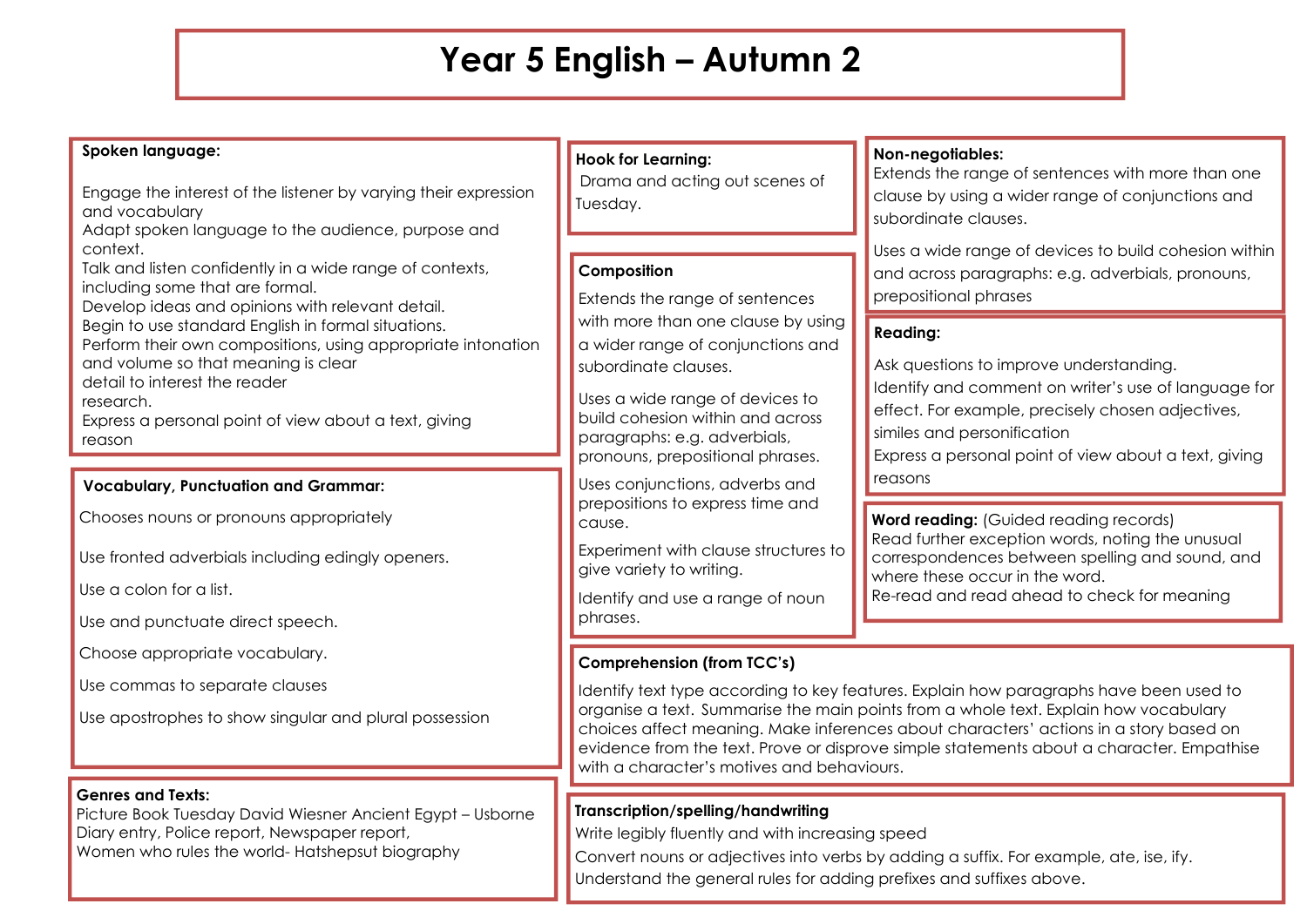## **Year 5 English – Autumn 2**

#### **Spoken language:**

Engage the interest of the listener by varying their expression and vocabulary

Adapt spoken language to the audience, purpose and context.

Talk and listen confidently in a wide range of contexts, including some that are formal.

Develop ideas and opinions with relevant detail.

Begin to use standard English in formal situations.

Perform their own compositions, using appropriate intonation and volume so that meaning is clear

detail to interest the reader

research.

Express a personal point of view about a text, giving reason

#### **Vocabulary, Punctuation and Grammar:**

Chooses nouns or pronouns appropriately

Use fronted adverbials including edingly openers.

Use a colon for a list.

Use and punctuate direct speech.

Choose appropriate vocabulary.

Use commas to separate clauses

Use apostrophes to show singular and plural possession

#### **Genres and Texts:**

Picture Book Tuesday David Wiesner Ancient Egypt – Usborne Diary entry, Police report, Newspaper report, Women who rules the world- Hatshepsut biography

#### **Hook for Learning:**

Drama and acting out scenes of Tuesday.

#### **Composition**

Extends the range of sentences with more than one clause by using a wider range of conjunctions and subordinate clauses.

Uses a wide range of devices to build cohesion within and across paragraphs: e.g. adverbials, pronouns, prepositional phrases.

Uses conjunctions, adverbs and prepositions to express time and cause.

Experiment with clause structures to give variety to writing.

Identify and use a range of noun phrases.

#### **Non-negotiables:**

Extends the range of sentences with more than one clause by using a wider range of conjunctions and subordinate clauses.

Uses a wide range of devices to build cohesion within and across paragraphs: e.g. adverbials, pronouns, prepositional phrases

## **Reading:**

reasons

Ask questions to improve understanding. Identify and comment on writer's use of language for effect. For example, precisely chosen adjectives, similes and personification Express a personal point of view about a text, giving

**Word reading:** (Guided reading records) Read further exception words, noting the unusual correspondences between spelling and sound, and where these occur in the word. Re-read and read ahead to check for meaning

## **Comprehension (from TCC's)**

Identify text type according to key features. Explain how paragraphs have been used to organise a text. Summarise the main points from a whole text. Explain how vocabulary choices affect meaning. Make inferences about characters' actions in a story based on evidence from the text. Prove or disprove simple statements about a character. Empathise with a character's motives and behaviours.

## **Transcription/spelling/handwriting**

Write legibly fluently and with increasing speed

Convert nouns or adjectives into verbs by adding a suffix. For example, ate, ise, ify. Understand the general rules for adding prefixes and suffixes above.